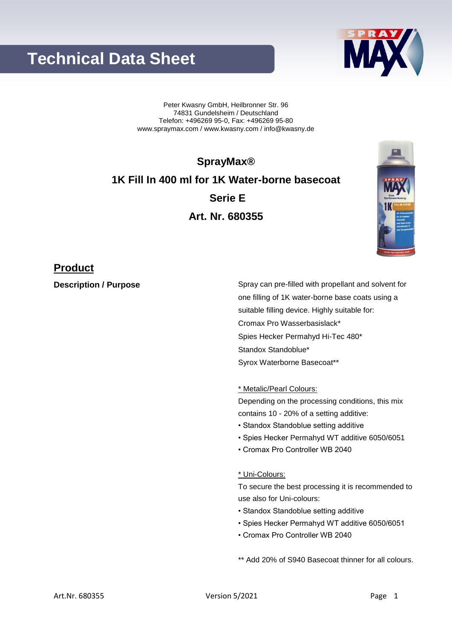# **Technical Data Sheet**

Peter Kwasny GmbH, Heilbronner Str. 96 74831 Gundelsheim / Deutschland Telefon: +496269 95-0, Fax: +496269 95-80 www.spraymax.com / www.kwasny.com / info@kwasny.de

**SprayMax® 1K Fill In 400 ml for 1K Water-borne basecoat Serie E Art. Nr. 680355**

### **Product**

**Description / Purpose** Spray can pre-filled with propellant and solvent for one filling of 1K water-borne base coats using a suitable filling device. Highly suitable for: Cromax Pro Wasserbasislack\* Spies Hecker Permahyd Hi-Tec 480\* Standox Standoblue\* Syrox Waterborne Basecoat\*\*

\* Metalic/Pearl Colours:

Depending on the processing conditions, this mix contains 10 - 20% of a setting additive:

- Standox Standoblue setting additive
- Spies Hecker Permahyd WT additive 6050/6051
- Cromax Pro Controller WB 2040

#### \* Uni-Colours:

To secure the best processing it is recommended to use also for Uni-colours:

- Standox Standoblue setting additive
- Spies Hecker Permahyd WT additive 6050/6051
- Cromax Pro Controller WB 2040

\*\* Add 20% of S940 Basecoat thinner for all colours.



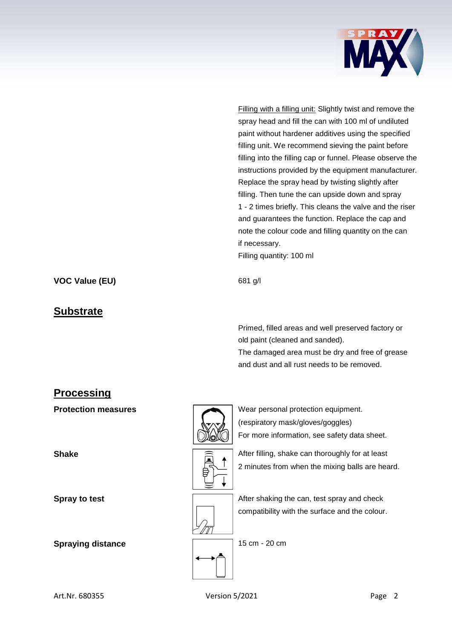

Filling with a filling unit: Slightly twist and remove the spray head and fill the can with 100 ml of undiluted paint without hardener additives using the specified filling unit. We recommend sieving the paint before filling into the filling cap or funnel. Please observe the instructions provided by the equipment manufacturer. Replace the spray head by twisting slightly after filling. Then tune the can upside down and spray 1 - 2 times briefly. This cleans the valve and the riser and guarantees the function. Replace the cap and note the colour code and filling quantity on the can if necessary.

Filling quantity: 100 ml

**VOC Value (EU)** 681 g/l

#### **Substrate**

Primed, filled areas and well preserved factory or old paint (cleaned and sanded).

The damaged area must be dry and free of grease and dust and all rust needs to be removed.

## **Processing**

**Spraying distance** 15 cm - 20 cm



**Protection measures** Wear personal protection equipment. (respiratory mask/gloves/goggles) For more information, see safety data sheet.

**Shake After filling, shake can thoroughly for at least**  $\widehat{=}$ 2 minutes from when the mixing balls are heard.



**Spray to test Spray to test** After shaking the can, test spray and check compatibility with the surface and the colour.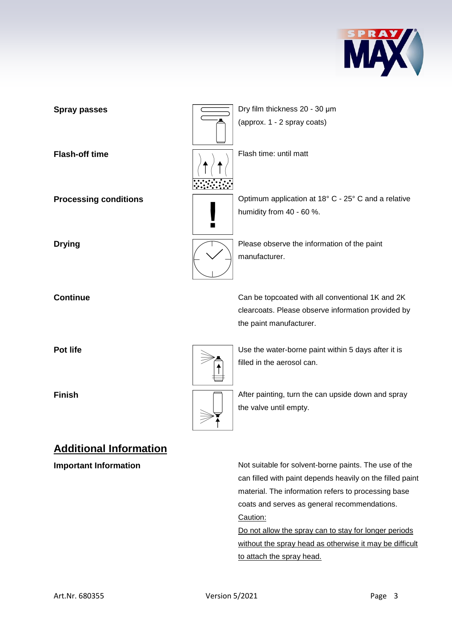



**Important Information** Not suitable for solvent-borne paints. The use of the can filled with paint depends heavily on the filled paint material. The information refers to processing base coats and serves as general recommendations. Caution:

> Do not allow the spray can to stay for longer periods without the spray head as otherwise it may be difficult to attach the spray head.